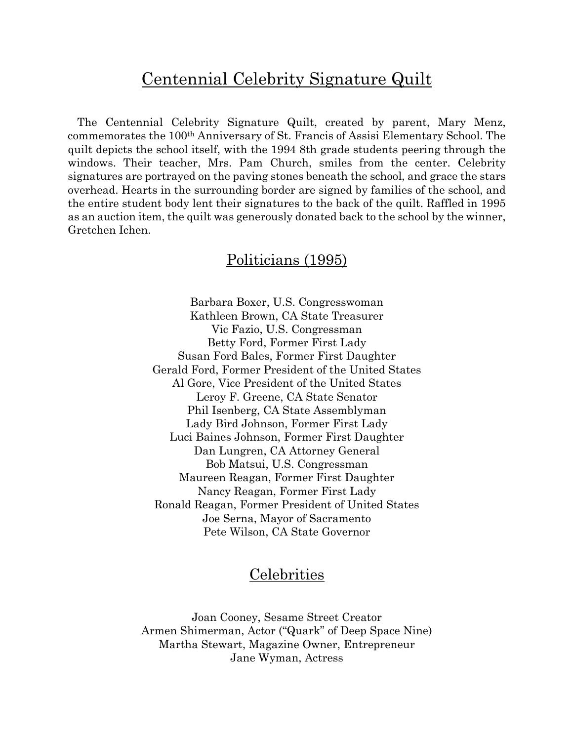# Centennial Celebrity Signature Quilt

 The Centennial Celebrity Signature Quilt, created by parent, Mary Menz, commemorates the 100th Anniversary of St. Francis of Assisi Elementary School. The quilt depicts the school itself, with the 1994 8th grade students peering through the windows. Their teacher, Mrs. Pam Church, smiles from the center. Celebrity signatures are portrayed on the paving stones beneath the school, and grace the stars overhead. Hearts in the surrounding border are signed by families of the school, and the entire student body lent their signatures to the back of the quilt. Raffled in 1995 as an auction item, the quilt was generously donated back to the school by the winner, Gretchen Ichen.

# Politicians (1995)

Barbara Boxer, U.S. Congresswoman Kathleen Brown, CA State Treasurer Vic Fazio, U.S. Congressman Betty Ford, Former First Lady Susan Ford Bales, Former First Daughter Gerald Ford, Former President of the United States Al Gore, Vice President of the United States Leroy F. Greene, CA State Senator Phil Isenberg, CA State Assemblyman Lady Bird Johnson, Former First Lady Luci Baines Johnson, Former First Daughter Dan Lungren, CA Attorney General Bob Matsui, U.S. Congressman Maureen Reagan, Former First Daughter Nancy Reagan, Former First Lady Ronald Reagan, Former President of United States Joe Serna, Mayor of Sacramento Pete Wilson, CA State Governor

# **Celebrities**

Joan Cooney, Sesame Street Creator Armen Shimerman, Actor ("Quark" of Deep Space Nine) Martha Stewart, Magazine Owner, Entrepreneur Jane Wyman, Actress